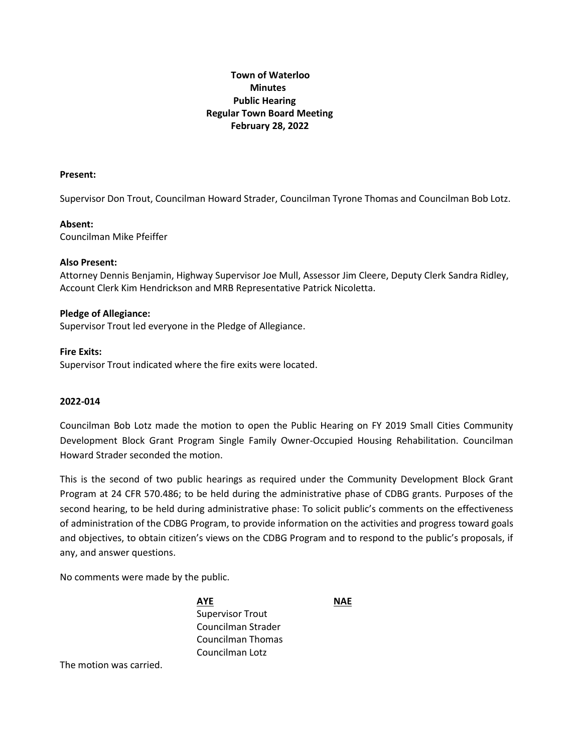# **Town of Waterloo Minutes Public Hearing Regular Town Board Meeting February 28, 2022**

### **Present:**

Supervisor Don Trout, Councilman Howard Strader, Councilman Tyrone Thomas and Councilman Bob Lotz.

### **Absent:**

Councilman Mike Pfeiffer

### **Also Present:**

Attorney Dennis Benjamin, Highway Supervisor Joe Mull, Assessor Jim Cleere, Deputy Clerk Sandra Ridley, Account Clerk Kim Hendrickson and MRB Representative Patrick Nicoletta.

### **Pledge of Allegiance:**

Supervisor Trout led everyone in the Pledge of Allegiance.

### **Fire Exits:**

Supervisor Trout indicated where the fire exits were located.

### **2022-014**

Councilman Bob Lotz made the motion to open the Public Hearing on FY 2019 Small Cities Community Development Block Grant Program Single Family Owner-Occupied Housing Rehabilitation. Councilman Howard Strader seconded the motion.

This is the second of two public hearings as required under the Community Development Block Grant Program at 24 CFR 570.486; to be held during the administrative phase of CDBG grants. Purposes of the second hearing, to be held during administrative phase: To solicit public's comments on the effectiveness of administration of the CDBG Program, to provide information on the activities and progress toward goals and objectives, to obtain citizen's views on the CDBG Program and to respond to the public's proposals, if any, and answer questions.

No comments were made by the public.

**AYE NAE** Supervisor Trout Councilman Strader Councilman Thomas Councilman Lotz

The motion was carried.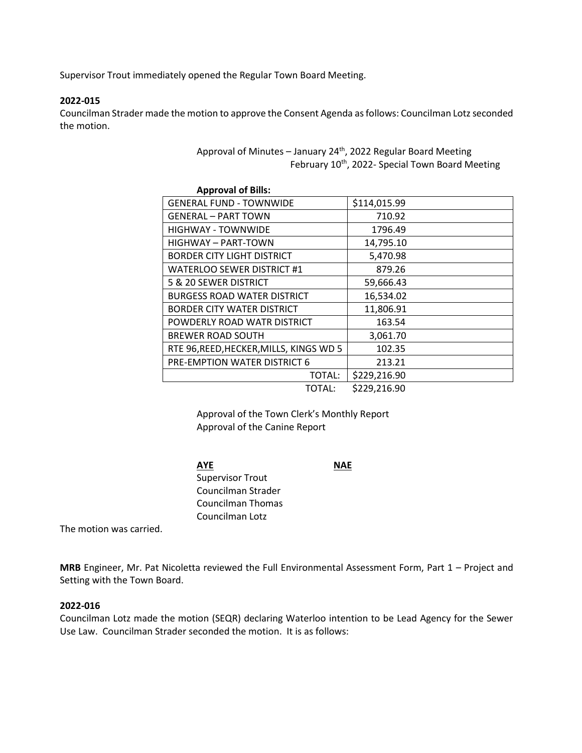Supervisor Trout immediately opened the Regular Town Board Meeting.

### **2022-015**

Councilman Strader made the motion to approve the Consent Agenda as follows: Councilman Lotz seconded the motion.

> Approval of Minutes – January  $24<sup>th</sup>$ , 2022 Regular Board Meeting February 10<sup>th</sup>, 2022- Special Town Board Meeting

| <b>Approval of Bills:</b>               |              |
|-----------------------------------------|--------------|
| <b>GENERAL FUND - TOWNWIDE</b>          | \$114,015.99 |
| <b>GENERAL - PART TOWN</b>              | 710.92       |
| <b>HIGHWAY - TOWNWIDE</b>               | 1796.49      |
| HIGHWAY - PART-TOWN                     | 14,795.10    |
| <b>BORDER CITY LIGHT DISTRICT</b>       | 5,470.98     |
| <b>WATERLOO SEWER DISTRICT #1</b>       | 879.26       |
| 5 & 20 SEWER DISTRICT                   | 59,666.43    |
| <b>BURGESS ROAD WATER DISTRICT</b>      | 16,534.02    |
| BORDER CITY WATER DISTRICT              | 11,806.91    |
| POWDERLY ROAD WATR DISTRICT             | 163.54       |
| <b>BREWER ROAD SOUTH</b>                | 3,061.70     |
| RTE 96, REED, HECKER, MILLS, KINGS WD 5 | 102.35       |
| PRE-EMPTION WATER DISTRICT 6            | 213.21       |
| TOTAL:                                  | \$229,216.90 |
| TOTAL:                                  | \$229,216.90 |

Approval of the Town Clerk's Monthly Report Approval of the Canine Report

**AYE NAE** Supervisor Trout Councilman Strader Councilman Thomas Councilman Lotz

The motion was carried.

**MRB** Engineer, Mr. Pat Nicoletta reviewed the Full Environmental Assessment Form, Part 1 – Project and Setting with the Town Board.

### **2022-016**

Councilman Lotz made the motion (SEQR) declaring Waterloo intention to be Lead Agency for the Sewer Use Law. Councilman Strader seconded the motion. It is as follows: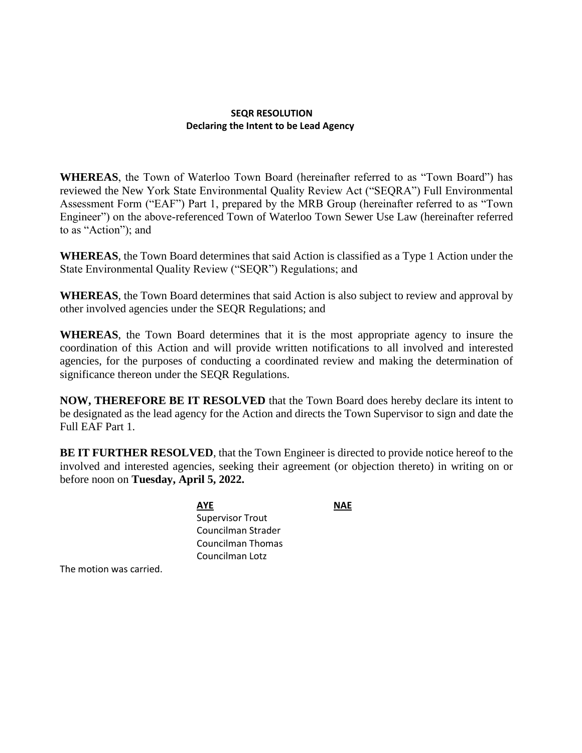### **SEQR RESOLUTION Declaring the Intent to be Lead Agency**

**WHEREAS**, the Town of Waterloo Town Board (hereinafter referred to as "Town Board") has reviewed the New York State Environmental Quality Review Act ("SEQRA") Full Environmental Assessment Form ("EAF") Part 1, prepared by the MRB Group (hereinafter referred to as "Town Engineer") on the above-referenced Town of Waterloo Town Sewer Use Law (hereinafter referred to as "Action"); and

**WHEREAS**, the Town Board determines that said Action is classified as a Type 1 Action under the State Environmental Quality Review ("SEQR") Regulations; and

**WHEREAS**, the Town Board determines that said Action is also subject to review and approval by other involved agencies under the SEQR Regulations; and

**WHEREAS**, the Town Board determines that it is the most appropriate agency to insure the coordination of this Action and will provide written notifications to all involved and interested agencies, for the purposes of conducting a coordinated review and making the determination of significance thereon under the SEQR Regulations.

**NOW, THEREFORE BE IT RESOLVED** that the Town Board does hereby declare its intent to be designated as the lead agency for the Action and directs the Town Supervisor to sign and date the Full EAF Part 1.

**BE IT FURTHER RESOLVED**, that the Town Engineer is directed to provide notice hereof to the involved and interested agencies, seeking their agreement (or objection thereto) in writing on or before noon on **Tuesday, April 5, 2022.**

> **AYE NAE** Supervisor Trout Councilman Strader Councilman Thomas Councilman Lotz

The motion was carried.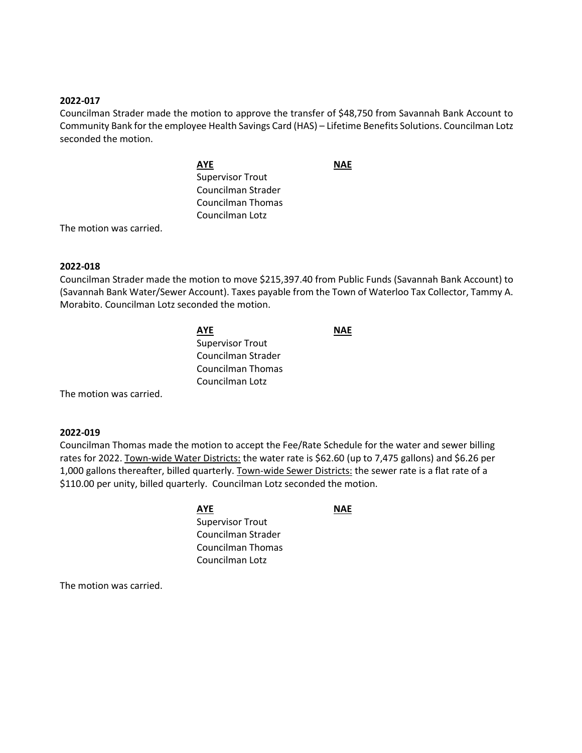### **2022-017**

Councilman Strader made the motion to approve the transfer of \$48,750 from Savannah Bank Account to Community Bank for the employee Health Savings Card (HAS) – Lifetime Benefits Solutions. Councilman Lotz seconded the motion.

> **AYE NAE** Supervisor Trout Councilman Strader Councilman Thomas Councilman Lotz

The motion was carried.

### **2022-018**

Councilman Strader made the motion to move \$215,397.40 from Public Funds (Savannah Bank Account) to (Savannah Bank Water/Sewer Account). Taxes payable from the Town of Waterloo Tax Collector, Tammy A. Morabito. Councilman Lotz seconded the motion.

> **AYE NAE** Supervisor Trout Councilman Strader Councilman Thomas Councilman Lotz

The motion was carried.

### **2022-019**

Councilman Thomas made the motion to accept the Fee/Rate Schedule for the water and sewer billing rates for 2022. Town-wide Water Districts: the water rate is \$62.60 (up to 7,475 gallons) and \$6.26 per 1,000 gallons thereafter, billed quarterly. Town-wide Sewer Districts: the sewer rate is a flat rate of a \$110.00 per unity, billed quarterly. Councilman Lotz seconded the motion.

> **AYE NAE** Supervisor Trout Councilman Strader Councilman Thomas Councilman Lotz

The motion was carried.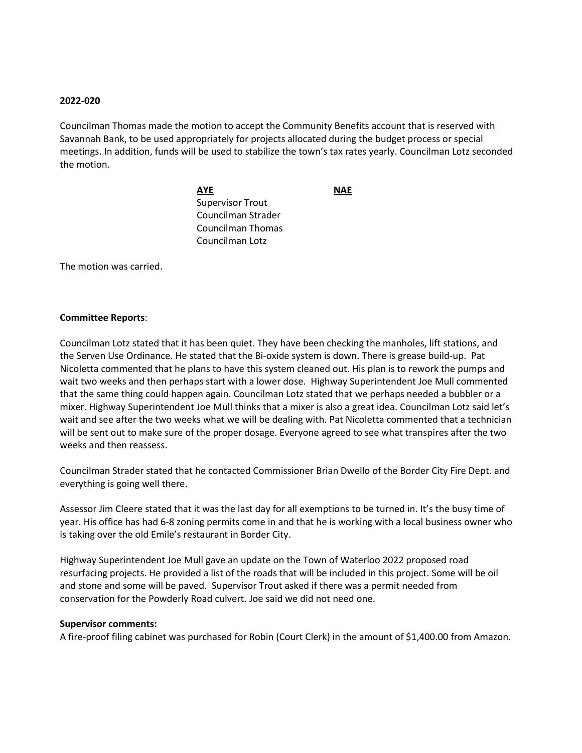### **2022-020**

Councilman Thomas made the motion to accept the Community Benefits account that is reserved with Savannah Bank, to be used appropriately for projects allocated during the budget process or special meetings. In addition, funds will be used to stabilize the town's tax rates yearly. Councilman Lotz seconded the motion.

> **AYE NAE** Supervisor Trout Councilman Strader Councilman Thomas Councilman Lotz

The motion was carried.

### **Committee Reports**:

Councilman Lotz stated that it has been quiet. They have been checking the manholes, lift stations, and the Serven Use Ordinance. He stated that the Bi-oxide system is down. There is grease build-up. Pat Nicoletta commented that he plans to have this system cleaned out. His plan is to rework the pumps and wait two weeks and then perhaps start with a lower dose. Highway Superintendent Joe Mull commented that the same thing could happen again. Councilman Lotz stated that we perhaps needed a bubbler or a mixer. Highway Superintendent Joe Mull thinks that a mixer is also a great idea. Councilman Lotz said let's wait and see after the two weeks what we will be dealing with. Pat Nicoletta commented that a technician will be sent out to make sure of the proper dosage. Everyone agreed to see what transpires after the two weeks and then reassess.

Councilman Strader stated that he contacted Commissioner Brian Dwello of the Border City Fire Dept. and everything is going well there.

Assessor Jim Cleere stated that it was the last day for all exemptions to be turned in. It's the busy time of year. His office has had 6-8 zoning permits come in and that he is working with a local business owner who is taking over the old Emile's restaurant in Border City.

Highway Superintendent Joe Mull gave an update on the Town of Waterloo 2022 proposed road resurfacing projects. He provided a list of the roads that will be included in this project. Some will be oil and stone and some will be paved. Supervisor Trout asked if there was a permit needed from conservation for the Powderly Road culvert. Joe said we did not need one.

#### **Supervisor comments:**

A fire-proof filing cabinet was purchased for Robin (Court Clerk) in the amount of \$1,400.00 from Amazon.